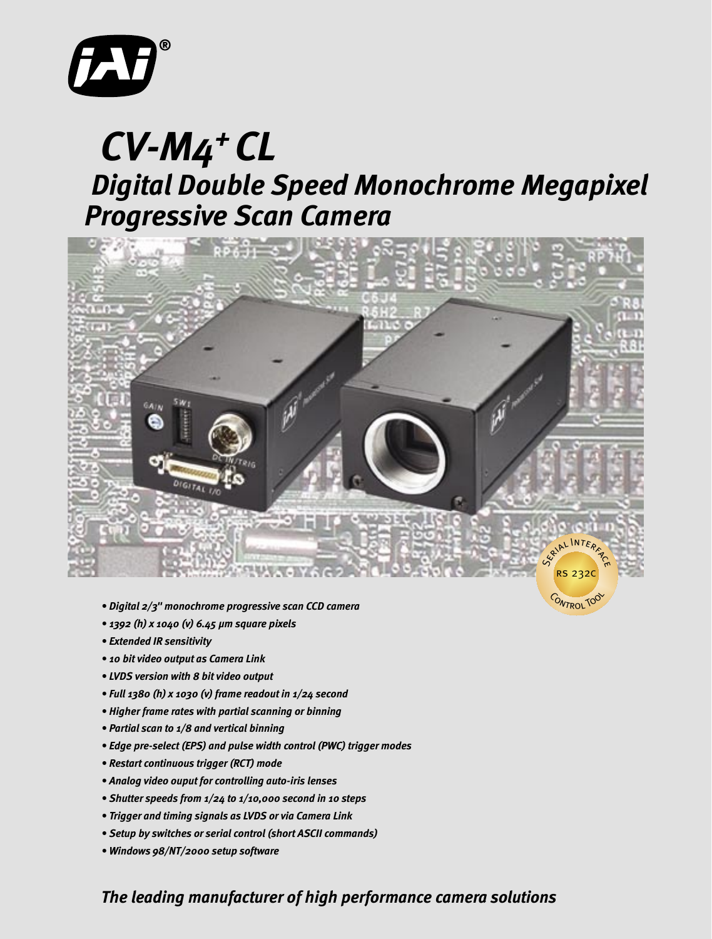

# *Digital Double Speed Monochrome Megapixel CV-M4+ CL Progressive Scan Camera*



CONTROL TO

- *Digital 2/3" monochrome progressive scan CCD camera*
- *1392 (h) x 1040 (v) 6.45 µm square pixels*
- *Extended IR sensitivity*
- *10 bit video output as Camera Link*
- *LVDS version with 8 bit video output*
- *Full 1380 (h) x 1030 (v) frame readout in 1/24 second*
- *Higher frame rates with partial scanning or binning*
- *Partial scan to 1/8 and vertical binning*
- *Edge pre-select (EPS) and pulse width control (PWC) trigger modes*
- *Restart continuous trigger (RCT) mode*
- *Analog video ouput for controlling auto-iris lenses*
- *Shutter speeds from 1/24 to 1/10,000 second in 10 steps*
- *Trigger and timing signals as LVDS or via Camera Link*
- *Setup by switches or serial control (short ASCII commands)*
- *Windows 98/NT/2000 setup software*

# *The leading manufacturer of high performance camera solutions*